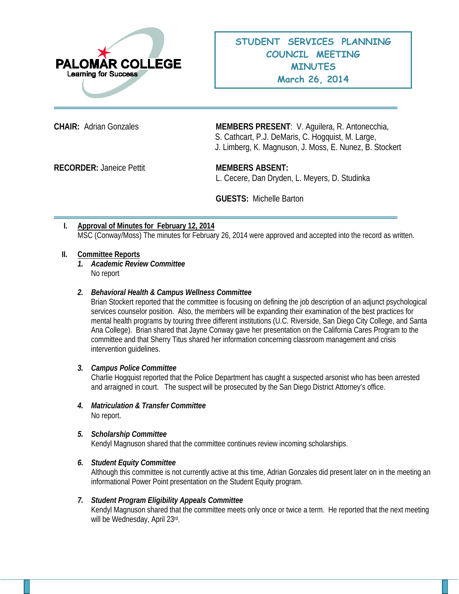

**CHAIR:** Adrian Gonzales **MEMBERS PRESENT**: V. Aguilera, R. Antonecchia, S. Cathcart, P.J. DeMaris, C. Hogquist, M. Large, J. Limberg, K. Magnuson, J. Moss, E. Nunez, B. Stockert

**RECORDER:** Janeice Pettit **MEMBERS ABSENT:**

L. Cecere, Dan Dryden, L. Meyers, D. Studinka

**GUESTS:** Michelle Barton

# **I. Approval of Minutes for February 12, 2014** MSC (Conway/Moss) The minutes for February 26, 2014 were approved and accepted into the record as written.

### **II. Committee Reports**

*1. Academic Review Committee*  No report

### *2. Behavioral Health & Campus Wellness Committee*

Brian Stockert reported that the committee is focusing on defining the job description of an adjunct psychological services counselor position. Also, the members will be expanding their examination of the best practices for mental health programs by touring three different institutions (U.C. Riverside, San Diego City College, and Santa Ana College). Brian shared that Jayne Conway gave her presentation on the California Cares Program to the committee and that Sherry Titus shared her information concerning classroom management and crisis intervention guidelines.

#### *3. Campus Police Committee*

Charlie Hogquist reported that the Police Department has caught a suspected arsonist who has been arrested and arraigned in court. The suspect will be prosecuted by the San Diego District Attorney's office.

*4. Matriculation & Transfer Committee* No report.

#### *5. Scholarship Committee*

Kendyl Magnuson shared that the committee continues review incoming scholarships.

#### *6. Student Equity Committee*

Although this committee is not currently active at this time, Adrian Gonzales did present later on in the meeting an informational Power Point presentation on the Student Equity program.

# *7. Student Program Eligibility Appeals Committee*

Kendyl Magnuson shared that the committee meets only once or twice a term. He reported that the next meeting will be Wednesday, April 23rd.